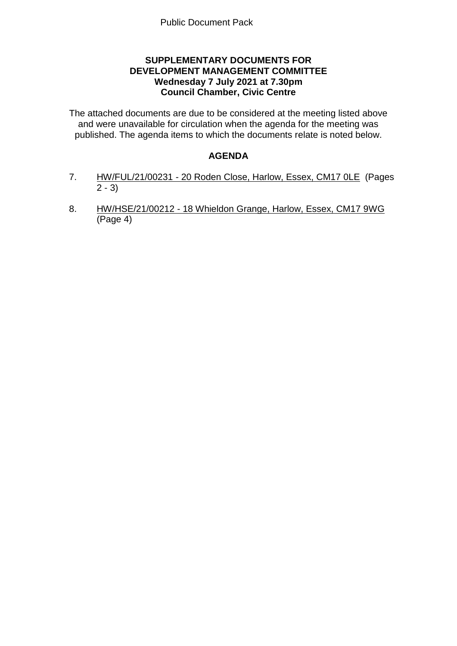# **SUPPLEMENTARY DOCUMENTS FOR DEVELOPMENT MANAGEMENT COMMITTEE Wednesday 7 July 2021 at 7.30pm Council Chamber, Civic Centre**

The attached documents are due to be considered at the meeting listed above and were unavailable for circulation when the agenda for the meeting was published. The agenda items to which the documents relate is noted below.

# **AGENDA**

- 7. HW/FUL/21/00231 20 Roden Close, Harlow, Essex, CM17 0LE (Pages  $2 - 3$
- 8. HW/HSE/21/00212 18 Whieldon Grange, Harlow, Essex, CM17 9WG (Page 4)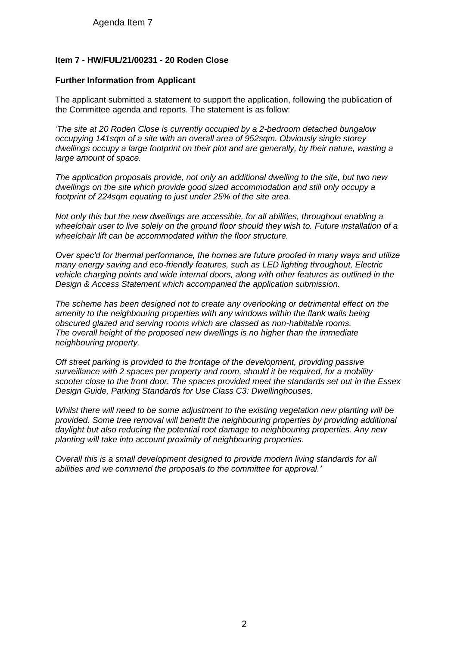Agenda Item 7

### **Item 7 - HW/FUL/21/00231 - 20 Roden Close**

#### **Further Information from Applicant**

The applicant submitted a statement to support the application, following the publication of the Committee agenda and reports. The statement is as follow:

*'The site at 20 Roden Close is currently occupied by a 2-bedroom detached bungalow occupying 141sqm of a site with an overall area of 952sqm. Obviously single storey dwellings occupy a large footprint on their plot and are generally, by their nature, wasting a large amount of space.*

*The application proposals provide, not only an additional dwelling to the site, but two new dwellings on the site which provide good sized accommodation and still only occupy a footprint of 224sqm equating to just under 25% of the site area.* 

*Not only this but the new dwellings are accessible, for all abilities, throughout enabling a wheelchair user to live solely on the ground floor should they wish to. Future installation of a wheelchair lift can be accommodated within the floor structure.*

*Over spec'd for thermal performance, the homes are future proofed in many ways and utilize many energy saving and eco-friendly features, such as LED lighting throughout, Electric vehicle charging points and wide internal doors, along with other features as outlined in the Design & Access Statement which accompanied the application submission.*

*The scheme has been designed not to create any overlooking or detrimental effect on the*  amenity to the neighbouring properties with any windows within the flank walls being *obscured glazed and serving rooms which are classed as non-habitable rooms. The overall height of the proposed new dwellings is no higher than the immediate neighbouring property.*

*Off street parking is provided to the frontage of the development, providing passive surveillance with 2 spaces per property and room, should it be required, for a mobility scooter close to the front door. The spaces provided meet the standards set out in the Essex Design Guide, Parking Standards for Use Class C3: Dwellinghouses.*

*Whilst there will need to be some adjustment to the existing vegetation new planting will be provided. Some tree removal will benefit the neighbouring properties by providing additional daylight but also reducing the potential root damage to neighbouring properties. Any new planting will take into account proximity of neighbouring properties.*

*Overall this is a small development designed to provide modern living standards for all abilities and we commend the proposals to the committee for approval.'*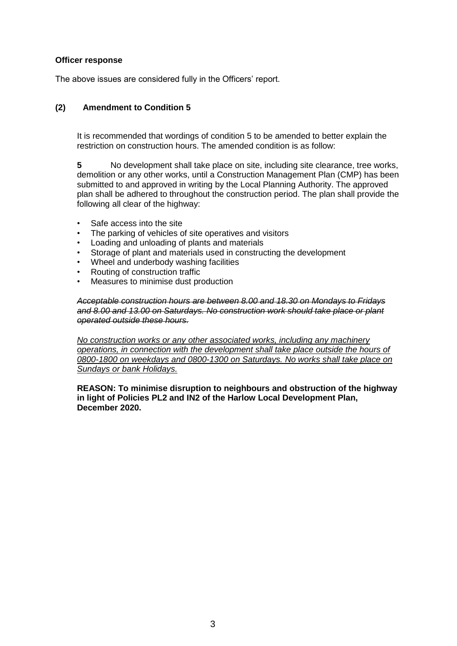#### **Officer response**

The above issues are considered fully in the Officers' report.

### **(2) Amendment to Condition 5**

It is recommended that wordings of condition 5 to be amended to better explain the restriction on construction hours. The amended condition is as follow:

**5** No development shall take place on site, including site clearance, tree works, demolition or any other works, until a Construction Management Plan (CMP) has been submitted to and approved in writing by the Local Planning Authority. The approved plan shall be adhered to throughout the construction period. The plan shall provide the following all clear of the highway:

- Safe access into the site
- The parking of vehicles of site operatives and visitors
- Loading and unloading of plants and materials
- Storage of plant and materials used in constructing the development
- Wheel and underbody washing facilities
- Routing of construction traffic
- Measures to minimise dust production

*Acceptable construction hours are between 8.00 and 18.30 on Mondays to Fridays and 8.00 and 13.00 on Saturdays. No construction work should take place or plant operated outside these hours.* 

*No construction works or any other associated works, including any machinery operations, in connection with the development shall take place outside the hours of 0800-1800 on weekdays and 0800-1300 on Saturdays. No works shall take place on Sundays or bank Holidays.*

**REASON: To minimise disruption to neighbours and obstruction of the highway in light of Policies PL2 and IN2 of the Harlow Local Development Plan, December 2020.**